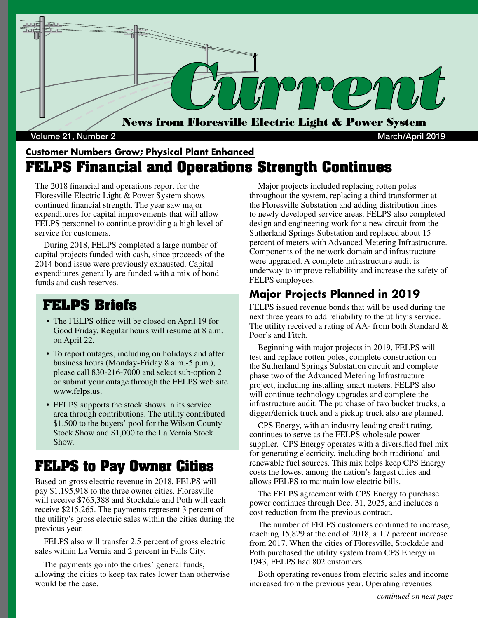

#### **Customer Numbers Grow; Physical Plant Enhanced FELPS Financial and Operations Strength Continues**

The 2018 financial and operations report for the Floresville Electric Light & Power System shows continued financial strength. The year saw major expenditures for capital improvements that will allow FELPS personnel to continue providing a high level of service for customers.

 During 2018, FELPS completed a large number of capital projects funded with cash, since proceeds of the 2014 bond issue were previously exhausted. Capital expenditures generally are funded with a mix of bond funds and cash reserves.

## **FELPS Briefs**

- The FELPS office will be closed on April 19 for Good Friday. Regular hours will resume at 8 a.m. on April 22.
- To report outages, including on holidays and after business hours (Monday-Friday 8 a.m.-5 p.m.), please call 830-216-7000 and select sub-option 2 or submit your outage through the FELPS web site www.felps.us.
- FELPS supports the stock shows in its service area through contributions. The utility contributed \$1,500 to the buyers' pool for the Wilson County Stock Show and \$1,000 to the La Vernia Stock Show.

## **FELPS to Pay Owner Cities**

Based on gross electric revenue in 2018, FELPS will pay \$1,195,918 to the three owner cities. Floresville will receive \$765,388 and Stockdale and Poth will each receive \$215,265. The payments represent 3 percent of the utility's gross electric sales within the cities during the previous year.

 FELPS also will transfer 2.5 percent of gross electric sales within La Vernia and 2 percent in Falls City.

 The payments go into the cities' general funds, allowing the cities to keep tax rates lower than otherwise would be the case.

 Major projects included replacing rotten poles throughout the system, replacing a third transformer at the Floresville Substation and adding distribution lines to newly developed service areas. FELPS also completed design and engineering work for a new circuit from the Sutherland Springs Substation and replaced about 15 percent of meters with Advanced Metering Infrastructure. Components of the network domain and infrastructure were upgraded. A complete infrastructure audit is underway to improve reliability and increase the safety of FELPS employees.

### **Major Projects Planned in 2019**

FELPS issued revenue bonds that will be used during the next three years to add reliability to the utility's service. The utility received a rating of AA- from both Standard & Poor's and Fitch.

 Beginning with major projects in 2019, FELPS will test and replace rotten poles, complete construction on the Sutherland Springs Substation circuit and complete phase two of the Advanced Metering Infrastructure project, including installing smart meters. FELPS also will continue technology upgrades and complete the infrastructure audit. The purchase of two bucket trucks, a digger/derrick truck and a pickup truck also are planned.

 CPS Energy, with an industry leading credit rating, continues to serve as the FELPS wholesale power supplier. CPS Energy operates with a diversified fuel mix for generating electricity, including both traditional and renewable fuel sources. This mix helps keep CPS Energy costs the lowest among the nation's largest cities and allows FELPS to maintain low electric bills.

 The FELPS agreement with CPS Energy to purchase power continues through Dec. 31, 2025, and includes a cost reduction from the previous contract.

 The number of FELPS customers continued to increase, reaching 15,829 at the end of 2018, a 1.7 percent increase from 2017. When the cities of Floresville, Stockdale and Poth purchased the utility system from CPS Energy in 1943, FELPS had 802 customers.

 Both operating revenues from electric sales and income increased from the previous year. Operating revenues